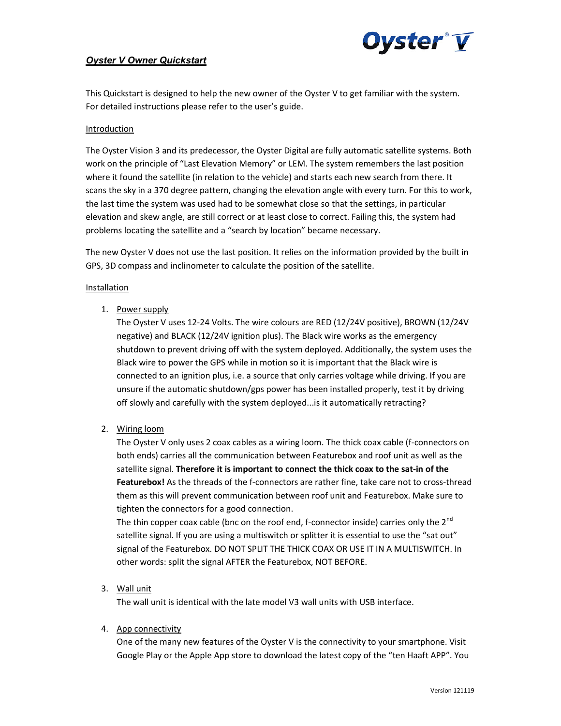

## **Oyster V Owner Quickstart**

This Quickstart is designed to help the new owner of the Oyster V to get familiar with the system. For detailed instructions please refer to the user's guide.

## Introduction

The Oyster Vision 3 and its predecessor, the Oyster Digital are fully automatic satellite systems. Both work on the principle of "Last Elevation Memory" or LEM. The system remembers the last position where it found the satellite (in relation to the vehicle) and starts each new search from there. It scans the sky in a 370 degree pattern, changing the elevation angle with every turn. For this to work, the last time the system was used had to be somewhat close so that the settings, in particular elevation and skew angle, are still correct or at least close to correct. Failing this, the system had problems locating the satellite and a "search by location" became necessary.

The new Oyster V does not use the last position. It relies on the information provided by the built in GPS, 3D compass and inclinometer to calculate the position of the satellite.

## Installation

1. Power supply

The Oyster V uses 12-24 Volts. The wire colours are RED (12/24V positive), BROWN (12/24V negative) and BLACK (12/24V ignition plus). The Black wire works as the emergency shutdown to prevent driving off with the system deployed. Additionally, the system uses the Black wire to power the GPS while in motion so it is important that the Black wire is connected to an ignition plus, i.e. a source that only carries voltage while driving. If you are unsure if the automatic shutdown/gps power has been installed properly, test it by driving off slowly and carefully with the system deployed...is it automatically retracting?

2. Wiring loom

The Oyster V only uses 2 coax cables as a wiring loom. The thick coax cable (f-connectors on both ends) carries all the communication between Featurebox and roof unit as well as the satellite signal. Therefore it is important to connect the thick coax to the sat-in of the Featurebox! As the threads of the f-connectors are rather fine, take care not to cross-thread them as this will prevent communication between roof unit and Featurebox. Make sure to tighten the connectors for a good connection.

The thin copper coax cable (bnc on the roof end, f-connector inside) carries only the  $2^{nd}$ satellite signal. If you are using a multiswitch or splitter it is essential to use the "sat out" signal of the Featurebox. DO NOT SPLIT THE THICK COAX OR USE IT IN A MULTISWITCH. In other words: split the signal AFTER the Featurebox, NOT BEFORE.

3. Wall unit

The wall unit is identical with the late model V3 wall units with USB interface.

4. App connectivity

One of the many new features of the Oyster V is the connectivity to your smartphone. Visit Google Play or the Apple App store to download the latest copy of the "ten Haaft APP". You